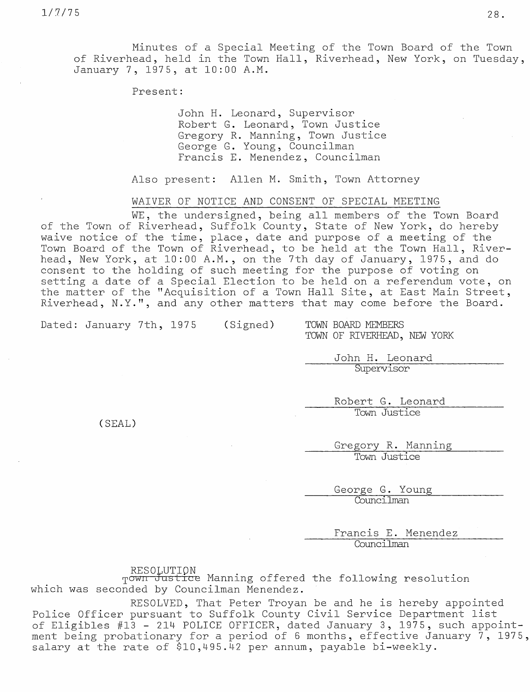Minutes of a Special Meeting of the Town Board of the Town of Riverhead, held in the Town Hall, Riverhead, New York, on Tuesday, January 7, 1975, at 10:00 A.M.

Present:

John H. Leonard, Supervisor Robert G. Leonard, Town Justice Gregory R. Manning, Town Justice George G. Young, Councilman Francis E. Menendez, Councilman

Also present: Allen M. Smith, Town Attorney

WAIVER OF NOTICE AND CONSENT OF SPECIAL MEETING

WE, the undersigned, being all members of the Town Board of the Town of Riverhead, Suffolk County, State of New York, do hereby waive notice of the time, place, date and purpose of a meeting of the Town Board of the Town of Riverhead, to be held at the Town Hall, Riverhead, New York, at 10:00 A.M., on the 7th day of January, 1975, and do consent to the holding of such meeting for the purpose of voting on setting a date of a Special Election to be held on a referendum vote, on the matter of the "Acquisition of a Town Hall Site, at East Main Street, Riverhead, N.Y.", and any other matters that may come before the Board.

Dated: January 7th, 1975 (Signed) TOWN BOARD MEMBERS

TOWN OF RIVERHEAD, NEW YORK

John H. Leonard **Supervisor** 

Robert G. Leonard Town Justice

(SEAL)

Gregory R. Manning Town Justice

George G. Young Councilman

Francis E. Menendez Councilman

RESOLUTION

Town Justice Manning offered the following resolution which was seconded by Councilman Menendez.

RESOLVED, That Peter Troyan be and he is hereby appointed Police Officer pursuant to Suffolk County Civil Service Department list of Eligibles #13 - 214 POLICE OFFICER, dated January 3, 1975, such appointment being probationary for a period of 6 months, effective January  $\bar{7}$ , 1975, salary at the rate of \$10,495.42 per annum, payable bi-weekly.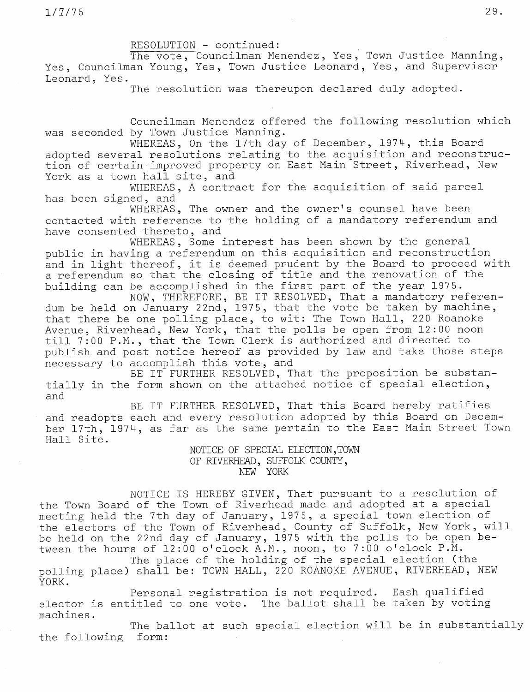RESOLUTION - continued:

The vote, Councilman Menendez, Yes, Town Justice Manning, Yes, Councilman Young, Yes, Town Justice Leonard, Yes, and Supervisor Leonard, Yes.

The resolution was thereupon declared duly adopted.

Councilman Menendez offered the following resolution which was seconded by Town Justice Manning.

WHEREAS, On the 17th day of December, 1974, this Board adopted several resolutions relating to the acquisition and reconstruction of certain improved property on East Main Street, Riverhead, New York as a town hall site, and

WHEREAS, A contract for the acquisition of said parcel has been signed, and

WHEREAS, The owner and the owner's counsel have been contacted with reference to the holding of a mandatory referendum and have consented thereto, and

WHEREAS, Some interest has been shown by the general public in having a referendum on this acquisition and reconstruction and in light thereof, it is deemed prudent by the Board to proceed with a referendum so that the closing of title and the renovation of the building can be accomplished in the first part of the year 1975.

NOW, THEREFORE, BE IT RESOLVED, That a mandatory referendum be held on January 22nd, 1975, that the vote be taken by machine, that there be one polling place, to wit: The Town Hall, 220 Roanoke Avenue, Riverhead, New York, that the polls be open from 12:00 noon till 7:00 P.M., that the Town Clerk is authorized and directed to publish and post notice hereof as provided by law and take those steps necessary to accomplish this vote, and

BE IT FURTHER RESOLVED, That the proposition be substantially in the form shown on the attached notice of special election, and

BE IT FURTHER RESOLVED, That this Board hereby ratifies and readopts each and every resolution adopted by this Board on December 17th, 1974, as far as the same pertain to the East Main Street Town Hall Site.

NOTICE OF SPECIAL ELECTION,TOWN OF RIVERHEAD, SUFFOLK COUNTY, NEW YORK

NOTICE IS HEREBY GIVEN, That pursuant to a resolution of the Town Board of the Town of Riverhead made and adopted at a special meeting held the 7th day of January, 1975, a special town election o the electors of the Town of Riverhead, County of Suffolk, New York, w: be held on the 22nd day of January, 1975 with the polls to be open between the hours of 12:00 o'clock A.M., noon, to 7:00 o'clock P.M.

The place of the holding of the special election (the polling place) shall be: TOWN HALL, 220 ROANOKE AVENUE, RIVERHEAD, NEW YORK.

Personal registration is not required. Eash qualified elector is entitled to one vote. The ballot shall be taken by voting machines.

The ballot at such special election will be in substantially the following form: